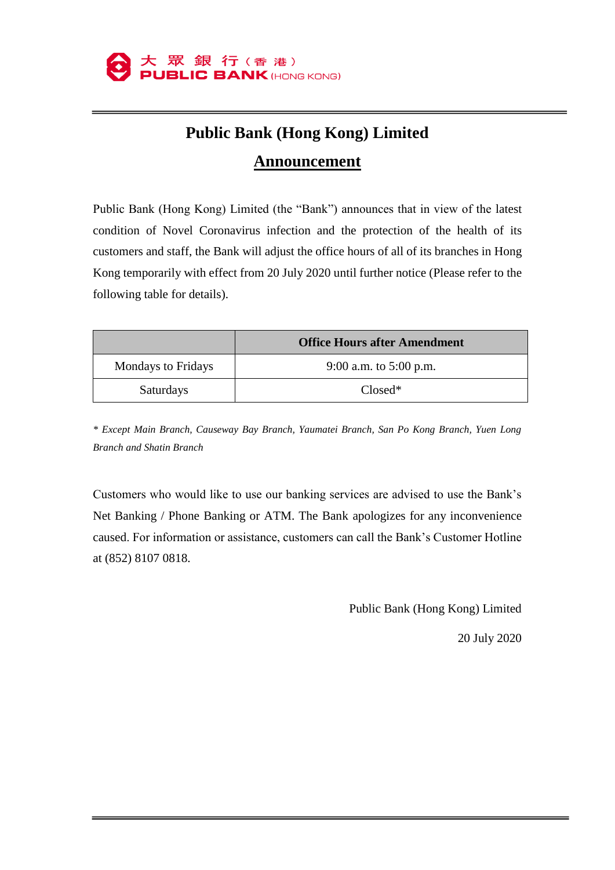

## **Public Bank (Hong Kong) Limited Announcement**

Public Bank (Hong Kong) Limited (the "Bank") announces that in view of the latest condition of Novel Coronavirus infection and the protection of the health of its customers and staff, the Bank will adjust the office hours of all of its branches in Hong Kong temporarily with effect from 20 July 2020 until further notice (Please refer to the following table for details).

|                           | <b>Office Hours after Amendment</b> |
|---------------------------|-------------------------------------|
| <b>Mondays to Fridays</b> | 9:00 a.m. to $5:00$ p.m.            |
| <b>Saturdays</b>          | $Closed*$                           |

*\* Except Main Branch, Causeway Bay Branch, Yaumatei Branch, San Po Kong Branch, Yuen Long Branch and Shatin Branch*

Customers who would like to use our banking services are advised to use the Bank's Net Banking / Phone Banking or ATM. The Bank apologizes for any inconvenience caused. For information or assistance, customers can call the Bank's Customer Hotline at (852) 8107 0818.

Public Bank (Hong Kong) Limited

20 July 2020